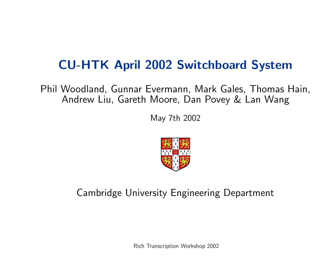# CU-HTK April 2002 Switchboard System

Phil Woodland, Gunnar Evermann, Mark Gales, Thomas Hain, Andrew Liu, Gareth Moore, Dan Povey & Lan Wang

May 7th 2002



Cambridge University Engineering Department

Rich Transcription Workshop 2002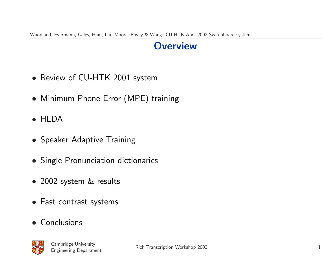#### **Overview**

- Review of CU-HTK 2001 system
- Minimum Phone Error (MPE) training
- HLDA
- Speaker Adaptive Training
- Single Pronunciation dictionaries
- 2002 system & results
- Fast contrast systems
- Conclusions

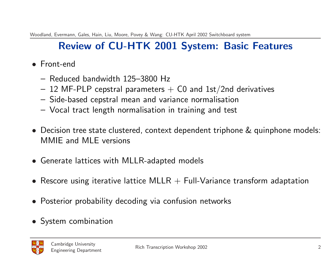# Review of CU-HTK 2001 System: Basic Features

- Front-end
	- Reduced bandwidth 125–3800 Hz
	- $-$  12 MF-PLP cepstral parameters  $+$  C0 and 1st/2nd derivatives
	- Side-based cepstral mean and variance normalisation
	- Vocal tract length normalisation in training and test
- Decision tree state clustered, context dependent triphone & quinphone models: MMIE and MLE versions
- Generate lattices with MLLR-adapted models
- Rescore using iterative lattice MLLR  $+$  Full-Variance transform adaptation
- Posterior probability decoding via confusion networks
- System combination

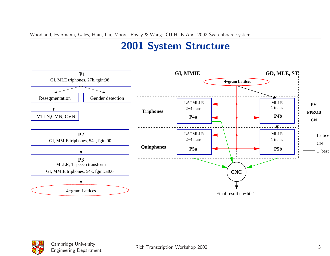# 2001 System Structure



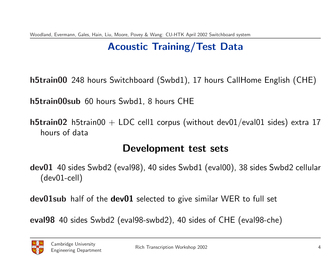# Acoustic Training/Test Data

h5train00 248 hours Switchboard (Swbd1), 17 hours CallHome English (CHE)

h5train00sub 60 hours Swbd1, 8 hours CHE

**h5train02** h5train00 + LDC cell1 corpus (without dev01/eval01 sides) extra 17 hours of data

#### Development test sets

dev01 40 sides Swbd2 (eval98), 40 sides Swbd1 (eval00), 38 sides Swbd2 cellular (dev01-cell)

dev01sub half of the dev01 selected to give similar WER to full set

eval98 40 sides Swbd2 (eval98-swbd2), 40 sides of CHE (eval98-che)

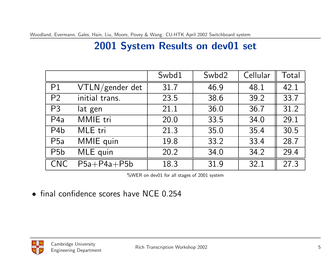### 2001 System Results on dev01 set

|                  |                 | Swbd1 | Swbd2 | Cellular | Total |
|------------------|-----------------|-------|-------|----------|-------|
| P1               | VTLN/gender det | 31.7  | 46.9  | 48.1     | 42.1  |
| P <sub>2</sub>   | initial trans.  | 23.5  | 38.6  | 39.2     | 33.7  |
| P <sub>3</sub>   | lat gen         | 21.1  | 36.0  | 36.7     | 31.2  |
| P <sub>4</sub> a | MMIE tri        | 20.0  | 33.5  | 34.0     | 29.1  |
| P <sub>4</sub> b | MLE tri         | 21 3  | 35.0  | 35.4     | 30.5  |
| P <sub>5a</sub>  | MMIE quin       | 19.8  | 33.2  | 33.4     | 28.7  |
| P <sub>5</sub> b | MLE quin        | 20.2  | 34.0  | 34.2     | 29.4  |
| <b>CNC</b>       | $P5a+P4a+P5b$   | 18.3  | 31.9  | 32.1     | 27.3  |

%WER on dev01 for all stages of 2001 system

• final confidence scores have NCE 0.254

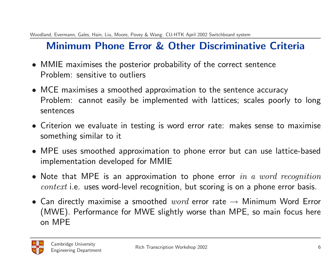# Minimum Phone Error & Other Discriminative Criteria

- MMIE maximises the posterior probability of the correct sentence Problem: sensitive to outliers
- MCE maximises a smoothed approximation to the sentence accuracy Problem: cannot easily be implemented with lattices; scales poorly to long sentences
- Criterion we evaluate in testing is word error rate: makes sense to maximise something similar to it
- MPE uses smoothed approximation to phone error but can use lattice-based implementation developed for MMIE
- Note that MPE is an approximation to phone error in a word recognition  $context$  i.e. uses word-level recognition, but scoring is on a phone error basis.
- Can directly maximise a smoothed  $word$  error rate  $\rightarrow$  Minimum Word Error (MWE). Performance for MWE slightly worse than MPE, so main focus here on MPE

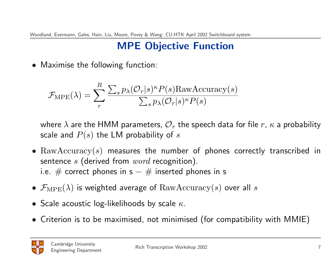## MPE Objective Function

• Maximise the following function:

$$
\mathcal{F}_{\text{MPE}}(\lambda) = \sum_{r}^{R} \frac{\sum_{s} p_{\lambda}(\mathcal{O}_{r}|s)^{\kappa} P(s) \text{RawAccuracy}(s)}{\sum_{s} p_{\lambda}(\mathcal{O}_{r}|s)^{\kappa} P(s)}
$$

where  $\lambda$  are the HMM parameters,  $\mathcal{O}_r$  the speech data for file r,  $\kappa$  a probability scale and  $P(s)$  the LM probability of s

- $\text{RawAccuracy}(s)$  measures the number of phones correctly transcribed in sentence s (derived from  $word$  recognition). i.e.  $#$  correct phones in s  $#$  inserted phones in s
- $\mathcal{F}_{\text{MPE}}(\lambda)$  is weighted average of  $\text{RawAccuracy}(s)$  over all s
- Scale acoustic log-likelihoods by scale  $\kappa$ .
- Criterion is to be maximised, not minimised (for compatibility with MMIE)

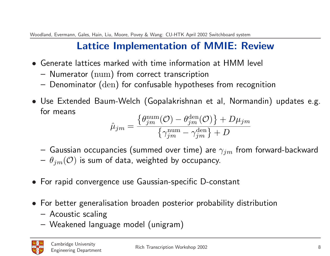## Lattice Implementation of MMIE: Review

- Generate lattices marked with time information at HMM level
	- Numerator (num) from correct transcription
	- Denominator (den) for confusable hypotheses from recognition
- Use Extended Baum-Welch (Gopalakrishnan et al, Normandin) updates e.g. for means  $\overline{6}$  $\overline{a}$

$$
\hat{\mu}_{jm} = \frac{\{\theta_{jm}^{\text{num}}(\mathcal{O}) - \theta_{jm}^{\text{den}}(\mathcal{O})\} + D\mu_{jm}}{\{\gamma_{jm}^{\text{num}} - \gamma_{jm}^{\text{den}}\} + D}
$$

- Gaussian occupancies (summed over time) are  $\gamma_{jm}$  from forward-backward  $-\theta_{im}(\mathcal{O})$  is sum of data, weighted by occupancy.
- For rapid convergence use Gaussian-specific D-constant
- For better generalisation broaden posterior probability distribution
	- Acoustic scaling
	- Weakened language model (unigram)

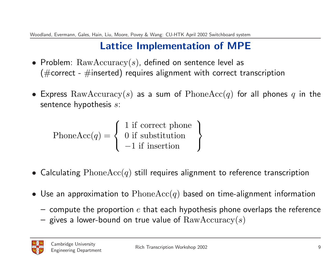## Lattice Implementation of MPE

- Problem:  $\text{RawAccuracy}(s)$ , defined on sentence level as ( $\#$ correct -  $\#$ inserted) requires alignment with correct transcription
- Express  $\text{RawAccuracy}(s)$  as a sum of  $\text{PhoneAcc}(q)$  for all phones q in the sentence hypothesis s:

 $PhoneAcc(q) =$  $\overline{ }$  $\sqrt{ }$  $\mathcal{L}$ 1 if correct phone 0 if substitution −1 if insertion  $\mathbf{r}$  $\mathcal{L}$  $\sqrt{ }$ 

- Calculating  $PhoneAcc(q)$  still requires alignment to reference transcription
- Use an approximation to  $PhoneAcc(q)$  based on time-alignment information
	- $-$  compute the proportion  $e$  that each hypothesis phone overlaps the reference
	- gives a lower-bound on true value of  $\text{RawAccuracy}(s)$

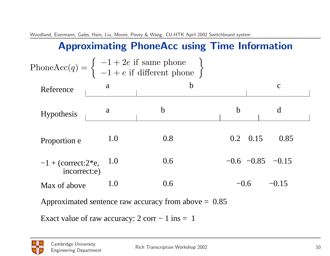# Approximating PhoneAcc using Time Information

|                                           |     | Phone $Acc(q) = \begin{cases} -1 + 2e & \text{if same phone} \\ -1 + e & \text{if different phone} \end{cases}$ |                  |                        |
|-------------------------------------------|-----|-----------------------------------------------------------------------------------------------------------------|------------------|------------------------|
| Reference                                 | a   | $\mathbf b$                                                                                                     |                  | $\mathbf C$            |
| <b>Hypothesis</b>                         | a   | $\mathbf b$                                                                                                     | $\mathbf b$      | d                      |
| Proportion e                              | 1.0 | 0.8                                                                                                             | $0.2 \quad 0.15$ | 0.85                   |
| $-1 +$ (correct: $2^*e$ ,<br>incorrect:e) | 1.0 | 0.6                                                                                                             |                  | $-0.6$ $-0.85$ $-0.15$ |
| Max of above                              | 1.0 | 0.6                                                                                                             | $-0.6$           | $-0.15$                |
|                                           |     | Approximated sentence raw accuracy from above $= 0.85$                                                          |                  |                        |

Exact value of raw accuracy:  $2 \text{ corr} - 1 \text{ ins} = 1$ 

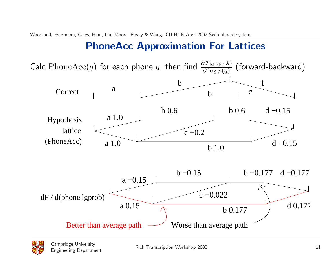## PhoneAcc Approximation For Lattices

Calc  $\mathrm{PhoneAcc}(q)$  for each phone  $q$ , then find  $\frac{\partial \mathcal{F}_{\mathrm{MPE}}(\lambda)}{\partial \log p(q)}$  (forward-backward)



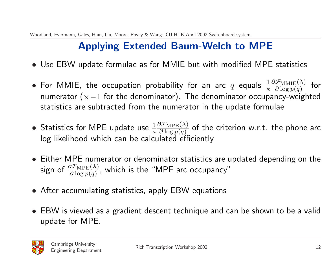# Applying Extended Baum-Welch to MPE

- Use EBW update formulae as for MMIE but with modified MPE statistics
- $\bullet$  For MMIE, the occupation probability for an arc  $q$  equals  $\frac{1}{\kappa}$  $\partial \mathcal{F}_{\text{MMIE}}(\lambda)$  $\frac{\partial \text{FMMIE}(\lambda)}{\partial \log p(q)}$  for numerator ( $\times$  -1 for the denominator). The denominator occupancy-weighted statistics are subtracted from the numerator in the update formulae
- Statistics for MPE update use  $\frac{1}{\kappa}$  $\partial \mathcal{F}_{\text{MPE}}(\lambda)$  $\frac{\partial \mathcal{F}_{\text{MPE}}(\lambda)}{\partial \log p(q)}$  of the criterion w.r.t. the phone arc log likelihood which can be calculated efficiently
- Either MPE numerator or denominator statistics are updated depending on the sign of  $\frac{\partial \mathcal{F}_{\text{MPE}}(\lambda)}{\partial \log p(q)}$ , which is the "MPE arc occupancy"
- After accumulating statistics, apply EBW equations
- EBW is viewed as a gradient descent technique and can be shown to be a valid update for MPE.

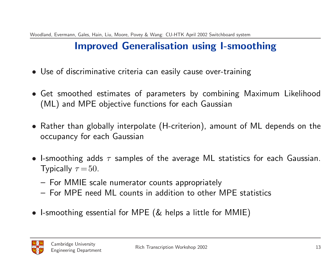# Improved Generalisation using I-smoothing

- Use of discriminative criteria can easily cause over-training
- Get smoothed estimates of parameters by combining Maximum Likelihood (ML) and MPE objective functions for each Gaussian
- Rather than globally interpolate (H-criterion), amount of ML depends on the occupancy for each Gaussian
- I-smoothing adds  $\tau$  samples of the average ML statistics for each Gaussian. Typically  $\tau = 50$ .
	- For MMIE scale numerator counts appropriately
	- For MPE need ML counts in addition to other MPE statistics
- I-smoothing essential for MPE (& helps a little for MMIE)

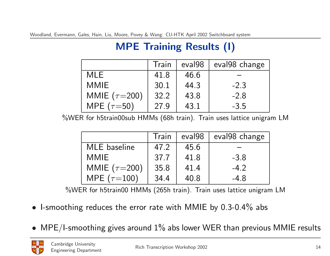# MPE Training Results (I)

|                   | Train | eval <sub>98</sub> | eval98 change |
|-------------------|-------|--------------------|---------------|
| <b>MLE</b>        | 41.8  | 46.6               |               |
| <b>MMIE</b>       | 30.1  | 44.3               | $-2.3$        |
| MMIE $(\tau=200)$ | 32.2  | 43.8               | $-2.8$        |
| MPE $(\tau=50)$   | 27.9  | 43.1               | $-3.5$        |

%WER for h5train00sub HMMs (68h train). Train uses lattice unigram LM

|                   | Train | eval <sub>98</sub> | eval98 change |
|-------------------|-------|--------------------|---------------|
| MLE baseline      | 47.2  | 45.6               |               |
| <b>MMIE</b>       | 37.7  | 41.8               | $-3.8$        |
| MMIE $(\tau=200)$ | 35.8  | 41.4               | $-4.2$        |
| MPE $(\tau=100)$  | 34.4  | 40.8               | $-4.8$        |

%WER for h5train00 HMMs (265h train). Train uses lattice unigram LM

- I-smoothing reduces the error rate with MMIE by 0.3-0.4% abs
- $MPE/I$ -smoothing gives around  $1\%$  abs lower WER than previous MMIE results

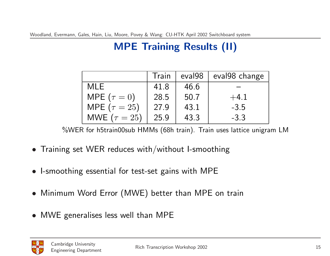# MPE Training Results (II)

|                     | Train | eval <sub>98</sub> | eval98 change |
|---------------------|-------|--------------------|---------------|
| <b>MLE</b>          | 418   | 46.6               |               |
| MPE $(\tau = 0)$    | 28.5  | 50.7               | $+4.1$        |
| MPE ( $\tau = 25$ ) | 27.9  | 43.1               | $-3.5$        |
| MWE ( $\tau = 25$ ) | 25.9  | 43.3               | $-3.3$        |

%WER for h5train00sub HMMs (68h train). Train uses lattice unigram LM

- Training set WER reduces with/without I-smoothing
- I-smoothing essential for test-set gains with MPE
- Minimum Word Error (MWE) better than MPE on train
- MWE generalises less well than MPE

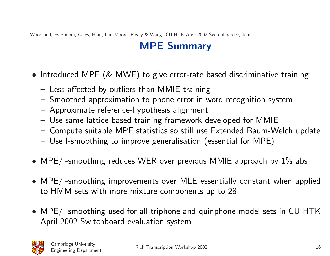# MPE Summary

- Introduced MPE (& MWE) to give error-rate based discriminative training
	- Less affected by outliers than MMIE training
	- Smoothed approximation to phone error in word recognition system
	- Approximate reference-hypothesis alignment
	- Use same lattice-based training framework developed for MMIE
	- Compute suitable MPE statistics so still use Extended Baum-Welch update
	- Use I-smoothing to improve generalisation (essential for MPE)
- MPE/I-smoothing reduces WER over previous MMIE approach by  $1\%$  abs
- MPE/I-smoothing improvements over MLE essentially constant when applied to HMM sets with more mixture components up to 28
- MPE/I-smoothing used for all triphone and quinphone model sets in CU-HTK April 2002 Switchboard evaluation system

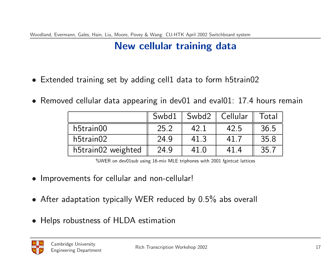## New cellular training data

- Extended training set by adding cell1 data to form h5train02
- Removed cellular data appearing in dev01 and eval01: 17.4 hours remain

|                    | Swbd1 | Swbd2   Cellular |      | Total |
|--------------------|-------|------------------|------|-------|
| h5train00          | 25.2  | 42.1             | 42.5 | 36.5  |
| h5train02          | 24.9  | 41.3             | 41   | 358   |
| h5train02 weighted | 24.9  | 41.0             | 414  | 35.   |

%WER on dev01sub using 16-mix MLE triphones with 2001 fgintcat lattices

- Improvements for cellular and non-cellular!
- After adaptation typically WER reduced by 0.5% abs overall
- Helps robustness of HLDA estimation

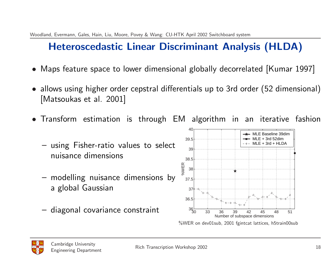# Heteroscedastic Linear Discriminant Analysis (HLDA)

- Maps feature space to lower dimensional globally decorrelated [Kumar 1997]
- allows using higher order cepstral differentials up to 3rd order (52 dimensional) [Matsoukas et al. 2001]
- Transform estimation is through EM algorithm in an iterative fashion
	- using Fisher-ratio values to select nuisance dimensions
	- modelling nuisance dimensions by a global Gaussian
	- diagonal covariance constraint



%WER on dev01sub, 2001 fgintcat lattices, h5train00sub

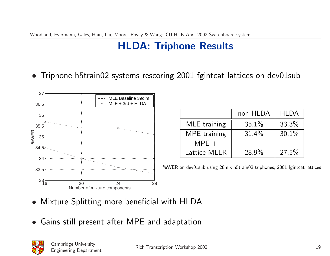## HLDA: Triphone Results

• Triphone h5train02 systems rescoring 2001 fgintcat lattices on dev01sub



|                     | non-HLDA | <b>HLDA</b> |
|---------------------|----------|-------------|
| MLE training        | 35.1%    | 33.3%       |
| <b>MPE</b> training | $31.4\%$ | 30.1%       |
| $MPE +$             |          |             |
| Lattice MLLR        | $28.9\%$ | $27.5\%$    |

%WER on dev01sub using 28mix h5train02 triphones, 2001 fgintcat lattices

- Mixture Splitting more beneficial with HLDA
- Gains still present after MPE and adaptation

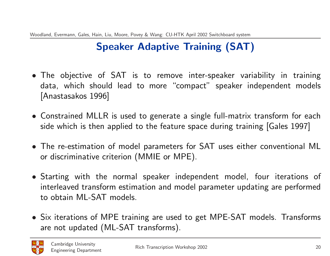# Speaker Adaptive Training (SAT)

- The objective of SAT is to remove inter-speaker variability in training data, which should lead to more "compact" speaker independent models [Anastasakos 1996]
- Constrained MLLR is used to generate a single full-matrix transform for each side which is then applied to the feature space during training [Gales 1997]
- The re-estimation of model parameters for SAT uses either conventional ML or discriminative criterion (MMIE or MPE).
- Starting with the normal speaker independent model, four iterations of interleaved transform estimation and model parameter updating are performed to obtain ML-SAT models.
- Six iterations of MPE training are used to get MPE-SAT models. Transforms are not updated (ML-SAT transforms).

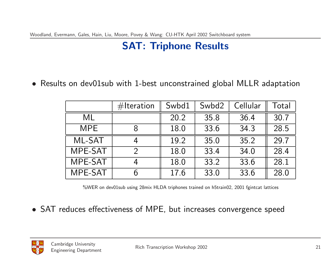## SAT: Triphone Results

• Results on dev01sub with 1-best unconstrained global MLLR adaptation

|            | $#$ Iteration | Swbd1 | Swbd2 | Cellular | Total |
|------------|---------------|-------|-------|----------|-------|
| ML         |               | 20.2  | 35.8  | 36.4     | 30.7  |
| <b>MPE</b> |               | 18.0  | 33.6  | 34.3     | 28.5  |
| ML-SAT     |               | 19.2  | 35.0  | 35.2     | 29.7  |
| MPE-SAT    | $\mathcal{D}$ | 18.0  | 33.4  | 34.0     | 284   |
| MPE-SAT    | 4             | 18.0  | 33.2  | 33.6     | 28.1  |
| MPE-SAT    | ი             | 17.6  | 33.0  | 33.6     | 28.0  |

%WER on dev01sub using 28mix HLDA triphones trained on h5train02, 2001 fgintcat lattices

• SAT reduces effectiveness of MPE, but increases convergence speed

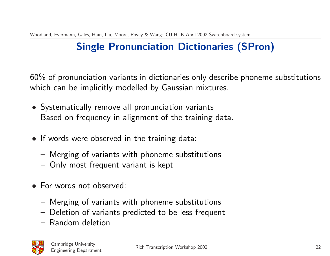# Single Pronunciation Dictionaries (SPron)

60% of pronunciation variants in dictionaries only describe phoneme substitutions which can be implicitly modelled by Gaussian mixtures.

- Systematically remove all pronunciation variants Based on frequency in alignment of the training data.
- If words were observed in the training data:
	- Merging of variants with phoneme substitutions
	- Only most frequent variant is kept
- For words not observed:
	- Merging of variants with phoneme substitutions
	- Deletion of variants predicted to be less frequent
	- Random deletion

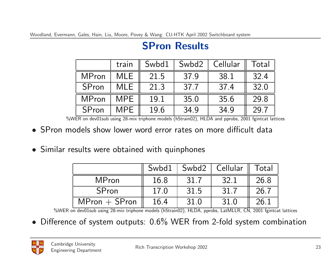|              | train      | Swbd1 | Swbd2 | Cellular | Total |
|--------------|------------|-------|-------|----------|-------|
| <b>MPron</b> | MLE        | 21.5  | 37.9  | 38.1     | 32.4  |
| SPron        | MLE        | 21.3  | 37.7  | 37.4     | 32.0  |
| <b>MPron</b> | <b>MPE</b> | 19.1  | 35.0  | 35.6     | 29.8  |
| SPron        | MPE        | 19.6  | 34.9  | 34.9     | 29.7  |

#### SPron Results

%WER on dev01sub using 28-mix triphone models (h5train02), HLDA and pprobs, 2001 fgintcat lattices

- SPron models show lower word error rates on more difficult data
- Similar results were obtained with quinphones

|                 | Swbd1 | Swbd2 | Cellular | Total |
|-----------------|-------|-------|----------|-------|
| <b>MPron</b>    | 16.8  | 31.7  | 32.1     | 26.8  |
| <b>SPron</b>    | 17.0  | 31.5  | 31.7     | 26.7  |
| $MPron + SPron$ | 16.4  | 31.0  | 31.0     | 26.1  |

%WER on dev01sub using 28-mix triphone models (h5train02), HLDA, pprobs, LatMLLR, CN, 2001 fgintcat lattices

• Difference of system outputs: 0.6% WER from 2-fold system combination

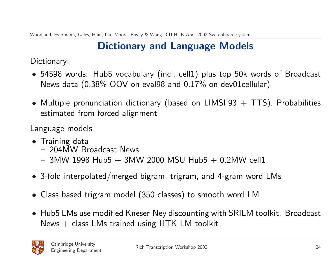# Dictionary and Language Models

Dictionary:

- 54598 words: Hub5 vocabulary (incl. cell1) plus top 50k words of Broadcast News data (0.38% OOV on eval98 and 0.17% on dev01cellular)
- Multiple pronunciation dictionary (based on LIMSI'93  $+$  TTS). Probabilities estimated from forced alignment

Language models

- Training data
	- 204MW Broadcast News
	- $-$  3MW 1998 Hub5  $+$  3MW 2000 MSU Hub5  $+$  0.2MW cell1
- 3-fold interpolated/merged bigram, trigram, and 4-gram word LMs
- Class based trigram model (350 classes) to smooth word LM
- Hub5 LMs use modified Kneser-Ney discounting with SRILM toolkit. Broadcast News  $+$  class LMs trained using HTK LM toolkit

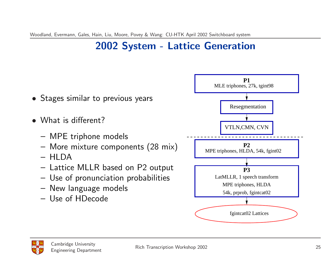## 2002 System - Lattice Generation



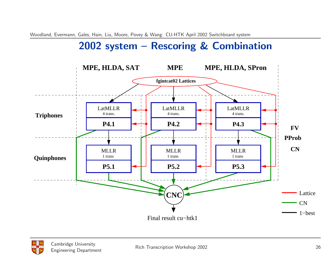## 2002 system – Rescoring & Combination





Cambridge University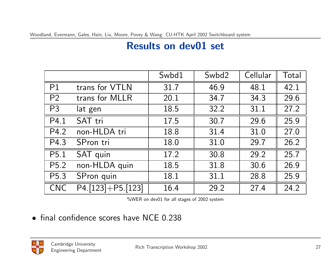### Results on dev01 set

|                   |                         | Swbd1 | Swbd2 | Cellular | Total |
|-------------------|-------------------------|-------|-------|----------|-------|
| P <sub>1</sub>    | trans for VTLN          | 31.7  | 46.9  | 48.1     | 42 1  |
| P <sub>2</sub>    | trans for MLLR          | 20 1  | 34.7  | 34.3     | 29.6  |
| P <sub>3</sub>    | lat gen                 | 18.5  | 32.2  | 31.1     | 27.2  |
| P4.1              | SAT tri                 | 17.5  | 30.7  | 29.6     | 25.9  |
| P4 2              | non-HLDA tri            | 18.8  | 31.4  | 31.0     | 27.0  |
| P4.3              | SPron tri               | 18.0  | 31.0  | 29.7     | 26.2  |
| P <sub>5.1</sub>  | SAT quin                | 17.2  | 30.8  | 29.2     | 25.7  |
| P <sub>5.2</sub>  | non-HLDA quin           | 18.5  | 31.8  | 30.6     | 26.9  |
| P <sub>5</sub> .3 | SPron quin              | 18 1  | 31.1  | 28.8     | 25.9  |
| <b>CNC</b>        | $P4$ [123] + $P5$ [123] | 16.4  | 29.2  | 27.4     | 24.2  |

%WER on dev01 for all stages of 2002 system

• final confidence scores have NCE 0.238

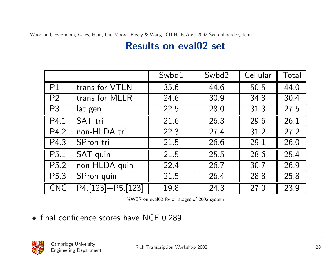## Results on eval02 set

|                   |                                  | Swbd1 | Swbd2 | Cellular | Total |
|-------------------|----------------------------------|-------|-------|----------|-------|
| P1                | trans for VTLN                   | 35.6  | 44.6  | 50.5     | 44.0  |
| P <sub>2</sub>    | trans for MLLR                   | 24.6  | 30.9  | 34.8     | 30.4  |
| P <sub>3</sub>    | lat gen                          | 22.5  | 28.0  | 31.3     | 27.5  |
| P4.1              | SAT tri                          | 21.6  | 26.3  | 29.6     | 26.1  |
| P4 2              | non-HLDA tri                     | 22.3  | 27.4  | 31.2     | 27.2  |
| P4.3              | SPron tri                        | 21.5  | 26.6  | 29.1     | 26.0  |
| P <sub>5.1</sub>  | SAT quin                         | 21.5  | 25.5  | 28.6     | 25.4  |
| P <sub>5.2</sub>  | non-HLDA quin                    | 22.4  | 26.7  | 30.7     | 26.9  |
| P <sub>5</sub> .3 | SPron quin                       | 21.5  | 26.4  | 28.8     | 25.8  |
| <b>CNC</b>        | $\overline{P4.[123]} + P5.[123]$ | 19.8  | 24.3  | 27.0     | 23.9  |

%WER on eval02 for all stages of 2002 system

• final confidence scores have NCE 0.289

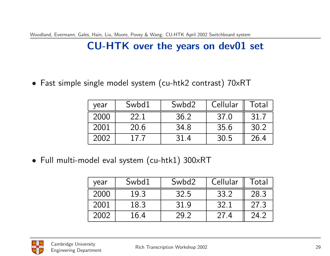## CU-HTK over the years on dev01 set

• Fast simple single model system (cu-htk2 contrast) 70xRT

| year | Swbd1 | Swbd2 | Cellular | Total |
|------|-------|-------|----------|-------|
| 2000 | 22.1  | 36.2  | 37.0     | 31.7  |
| 2001 | 20.6  | 34.8  | 35.6     | 30.2  |
| 2002 | 17 7  | 314   | 30.5     | 26.4  |

• Full multi-model eval system (cu-htk1) 300xRT

| year | Swbd1 | Swbd2 | Cellular | Гоtal |
|------|-------|-------|----------|-------|
| 2000 | 19.3  | 32.5  | 33.2     | 28 3  |
| 2001 | 18.3  | 31.9  | 32.1     | 27.3  |
| 2002 | 16.4  | 79.7  | 27.4     | 24.2  |

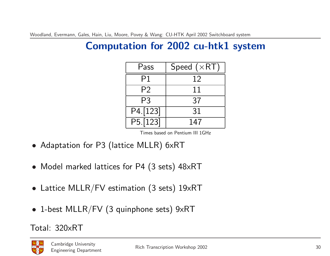## Computation for 2002 cu-htk1 system

| Pass           | Speed $(\times RT)$ |
|----------------|---------------------|
| P1             | 12                  |
| P <sub>2</sub> | 11                  |
| P3             | 37                  |
| P4 [123]       | 31                  |
| P5.123         | 147                 |

Times based on Pentium III 1GHz

- Adaptation for P3 (lattice MLLR) 6xRT
- Model marked lattices for P4 (3 sets) 48xRT
- Lattice MLLR/FV estimation (3 sets) 19xRT
- 1-best MLLR/FV (3 quinphone sets) 9xRT

Total: 320xRT

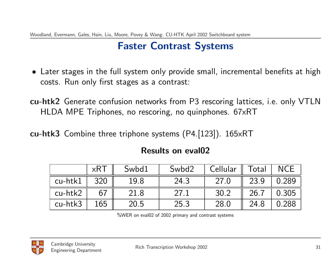## Faster Contrast Systems

- Later stages in the full system only provide small, incremental benefits at high costs. Run only first stages as a contrast:
- cu-htk2 Generate confusion networks from P3 rescoring lattices, i.e. only VTLN HLDA MPE Triphones, no rescoring, no quinphones. 67xRT
- cu-htk3 Combine three triphone systems (P4.[123]). 165xRT

|         | $\times$ RT | Swbd1 | Swbd2 | Cellular $\parallel$ Total $\parallel$ |      | <b>NCE</b> |
|---------|-------------|-------|-------|----------------------------------------|------|------------|
| cu-htk1 | 320         | 19.8  | 24.3  | 27.0                                   | 23.9 | 0.289      |
| cu-htk2 |             | 21.8  | 27.1  | 30.2                                   | 26.7 | 0.305      |
| cu-htk3 | 165         | 20.5  | 25.3  | 28.0                                   | 24.8 | 0.288      |

#### Results on eval02

%WER on eval02 of 2002 primary and contrast systems

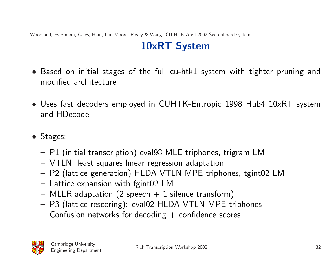## 10xRT System

- Based on initial stages of the full cu-htk1 system with tighter pruning and modified architecture
- Uses fast decoders employed in CUHTK-Entropic 1998 Hub4 10xRT system and HDecode
- Stages:
	- P1 (initial transcription) eval98 MLE triphones, trigram LM
	- VTLN, least squares linear regression adaptation
	- P2 (lattice generation) HLDA VTLN MPE triphones, tgint02 LM
	- Lattice expansion with fgint02 LM
	- $-$  MLLR adaptation (2 speech  $+$  1 silence transform)
	- P3 (lattice rescoring): eval02 HLDA VTLN MPE triphones
	- $-$  Confusion networks for decoding  $+$  confidence scores

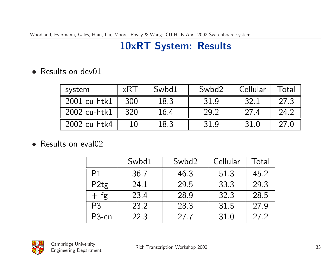## 10xRT System: Results

• Results on dev01

| system       | $\times$ R I | Swbd1 | Swbd2 | Cellular | Total       |
|--------------|--------------|-------|-------|----------|-------------|
| 2001 cu-htk1 | 300          | 18.3  | 31.9  | 32.1     | 27.3        |
| 2002 cu-htk1 | 320          | 16.4  | 29.2  | 274      | <u>24.2</u> |
| 2002 cu-htk4 |              | 18.3  | 31 Q  | 31.0     |             |

• Results on eval02

|                    | Swbd1 | Swbd2 | Cellular | Total |
|--------------------|-------|-------|----------|-------|
| P <sub>1</sub>     | 36.7  | 46 3  | 51.3     | 45.2  |
| P2tg               | 24.1  | 29.5  | 33.3     | 29.3  |
| $+$ fg             | 23.4  | 28.9  | 32.3     | 28.5  |
| P <sub>3</sub>     | 23.2  | 28.3  | 31.5     | 27.9  |
| P <sub>3</sub> -cn | 22.3  | 27.7  | 31.0     | 27.2  |

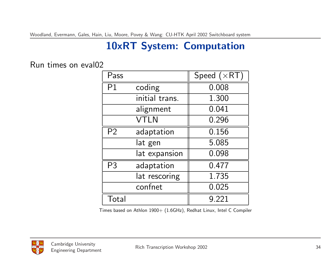# 10xRT System: Computation

#### Run times on eval02

| Pass           |                | Speed $(xRT)$ |
|----------------|----------------|---------------|
| P <sub>1</sub> | coding         | 0.008         |
|                | initial trans. | 1.300         |
|                | alignment      | 0.041         |
|                | <b>VTLN</b>    | 0.296         |
| P <sub>2</sub> | adaptation     | 0.156         |
|                | lat gen        | 5.085         |
|                | lat expansion  | 0.098         |
| P <sub>3</sub> | adaptation     | 0.477         |
|                | lat rescoring  | 1.735         |
|                | confnet        | 0.025         |
| Total          |                | 9.221         |

Times based on Athlon 1900+ (1.6GHz), Redhat Linux, Intel C Compiler

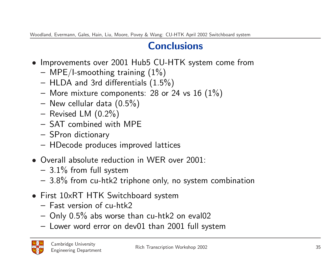#### **Conclusions**

- Improvements over 2001 Hub5 CU-HTK system come from
	- $-$  MPE/I-smoothing training  $(1%)$
	- HLDA and 3rd differentials (1.5%)
	- More mixture components: 28 or 24 vs 16  $(1\%)$
	- New cellular data (0.5%)
	- Revised LM  $(0.2\%)$
	- SAT combined with MPE
	- SPron dictionary
	- HDecode produces improved lattices
- Overall absolute reduction in WER over 2001:
	- $-3.1\%$  from full system
	- 3.8% from cu-htk2 triphone only, no system combination
- First 10xRT HTK Switchboard system
	- Fast version of cu-htk2
	- Only 0.5% abs worse than cu-htk2 on eval02
	- Lower word error on dev01 than 2001 full system